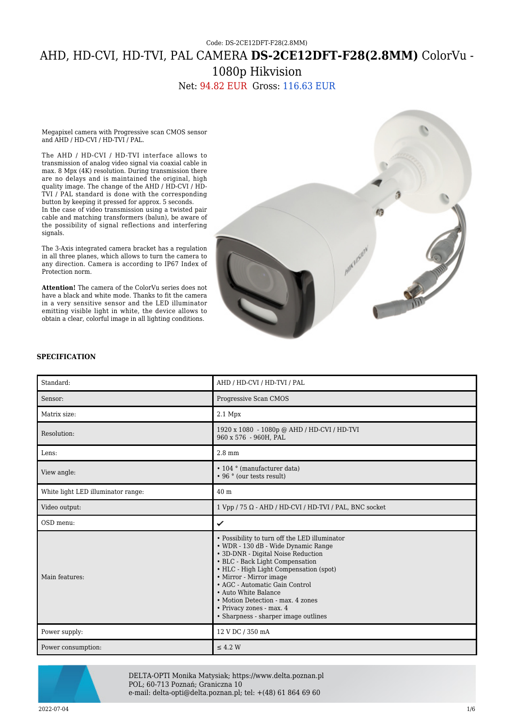# Code: DS-2CE12DFT-F28(2.8MM) AHD, HD-CVI, HD-TVI, PAL CAMERA **DS-2CE12DFT-F28(2.8MM)** ColorVu - 1080p Hikvision

Net: 94.82 EUR Gross: 116.63 EUR

Megapixel camera with Progressive scan CMOS sensor and AHD / HD-CVI / HD-TVI / PAL.

The AHD / HD-CVI / HD-TVI interface allows to transmission of analog video signal via coaxial cable in max. 8 Mpx (4K) resolution. During transmission there are no delays and is maintained the original, high quality image. The change of the AHD / HD-CVI / HD-TVI / PAL standard is done with the corresponding button by keeping it pressed for approx. 5 seconds. In the case of video transmission using a twisted pair cable and matching transformers (balun), be aware of the possibility of signal reflections and interfering signals.

The 3-Axis integrated camera bracket has a regulation in all three planes, which allows to turn the camera to any direction. Camera is according to IP67 Index of Protection norm.

**Attention!** The camera of the ColorVu series does not have a black and white mode. Thanks to fit the camera in a very sensitive sensor and the LED illuminator emitting visible light in white, the device allows to obtain a clear, colorful image in all lighting conditions.



#### **SPECIFICATION**

| Standard:                          | AHD / HD-CVI / HD-TVI / PAL                                                                                                                                                                                                                                                                                                                                                                           |
|------------------------------------|-------------------------------------------------------------------------------------------------------------------------------------------------------------------------------------------------------------------------------------------------------------------------------------------------------------------------------------------------------------------------------------------------------|
| Sensor:                            | Progressive Scan CMOS                                                                                                                                                                                                                                                                                                                                                                                 |
| Matrix size:                       | $2.1$ Mpx                                                                                                                                                                                                                                                                                                                                                                                             |
| Resolution:                        | 1920 x 1080 - 1080p @ AHD / HD-CVI / HD-TVI<br>960 x 576 - 960H, PAL                                                                                                                                                                                                                                                                                                                                  |
| Lens:                              | $2.8 \text{ mm}$                                                                                                                                                                                                                                                                                                                                                                                      |
| View angle:                        | • 104 ° (manufacturer data)<br>• 96 ° (our tests result)                                                                                                                                                                                                                                                                                                                                              |
| White light LED illuminator range: | 40 <sub>m</sub>                                                                                                                                                                                                                                                                                                                                                                                       |
| Video output:                      | $1$ Vpp / 75 $\Omega$ - AHD / HD-CVI / HD-TVI / PAL, BNC socket                                                                                                                                                                                                                                                                                                                                       |
|                                    |                                                                                                                                                                                                                                                                                                                                                                                                       |
| OSD menu:                          | ✓                                                                                                                                                                                                                                                                                                                                                                                                     |
| Main features:                     | • Possibility to turn off the LED illuminator<br>• WDR - 130 dB - Wide Dynamic Range<br>• 3D-DNR - Digital Noise Reduction<br>• BLC - Back Light Compensation<br>• HLC - High Light Compensation (spot)<br>• Mirror - Mirror image<br>• AGC - Automatic Gain Control<br>• Auto White Balance<br>• Motion Detection - max. 4 zones<br>• Privacy zones - max. 4<br>• Sharpness - sharper image outlines |
| Power supply:                      | 12 V DC / 350 mA                                                                                                                                                                                                                                                                                                                                                                                      |



DELTA-OPTI Monika Matysiak; https://www.delta.poznan.pl POL; 60-713 Poznań; Graniczna 10 e-mail: delta-opti@delta.poznan.pl; tel: +(48) 61 864 69 60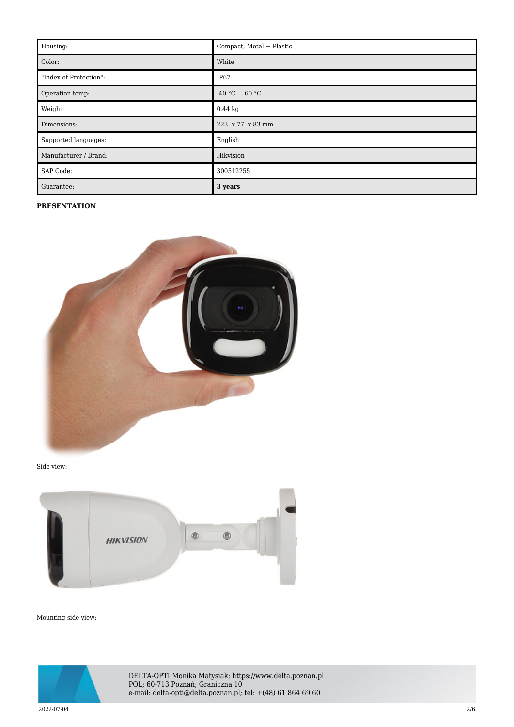| Housing:               | Compact, Metal + Plastic |
|------------------------|--------------------------|
| Color:                 | White                    |
| "Index of Protection": | IP67                     |
| Operation temp:        | $-40 °C  60 °C$          |
| Weight:                | $0.44$ kg                |
| Dimensions:            | 223 x 77 x 83 mm         |
| Supported languages:   | English                  |
| Manufacturer / Brand:  | Hikvision                |
| SAP Code:              | 300512255                |
| Guarantee:             | 3 years                  |

#### **PRESENTATION**



Side view:



Mounting side view:



DELTA-OPTI Monika Matysiak; https://www.delta.poznan.pl POL; 60-713 Poznań; Graniczna 10 e-mail: delta-opti@delta.poznan.pl; tel: +(48) 61 864 69 60

 $2022$ -07-04  $2/6$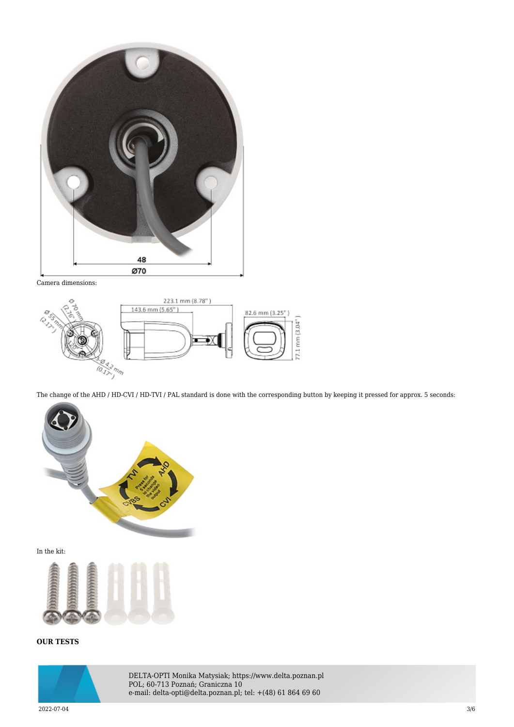

Camera dimensions:



The change of the AHD / HD-CVI / HD-TVI / PAL standard is done with the corresponding button by keeping it pressed for approx. 5 seconds:



In the kit:



## **OUR TESTS**



DELTA-OPTI Monika Matysiak; https://www.delta.poznan.pl POL; 60-713 Poznań; Graniczna 10 e-mail: delta-opti@delta.poznan.pl; tel: +(48) 61 864 69 60

 $2022$ -07-04  $3/6$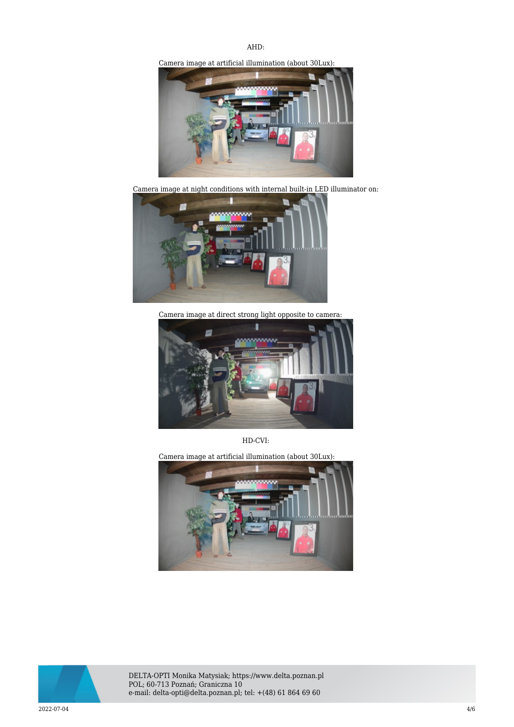### AHD:

Camera image at artificial illumination (about 30Lux):



Camera image at night conditions with internal built-in LED illuminator on:



Camera image at direct strong light opposite to camera:



HD-CVI:

Camera image at artificial illumination (about 30Lux):





DELTA-OPTI Monika Matysiak; https://www.delta.poznan.pl POL; 60-713 Poznań; Graniczna 10 e-mail: delta-opti@delta.poznan.pl; tel: +(48) 61 864 69 60

 $2022$ -07-04  $4/6$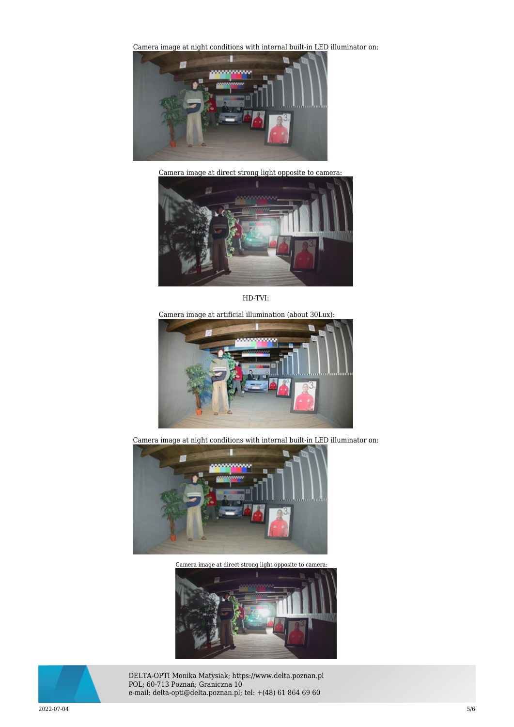[Camera image at night conditions with internal built-in LED](https://sklep.delta.poznan.pl/obrazki2/ds-2ce12dft-f28_2.8mm_cvi_img11_d.jpg) illuminator on:



Camera image at direct strong light opposite to camera:



HD-TVI:

Camera image at artificial illumination (about 30Lux):



Camera image at night conditions with internal built-in LED illuminator on:



Camera image at direct strong light opposite to camera:





DELTA-OPTI Monika Matysiak; https://www.delta.poznan.pl POL; 60-713 Poznań; Graniczna 10 e-mail: delta-opti@delta.poznan.pl; tel: +(48) 61 864 69 60

 $2022$ -07-04  $5/6$